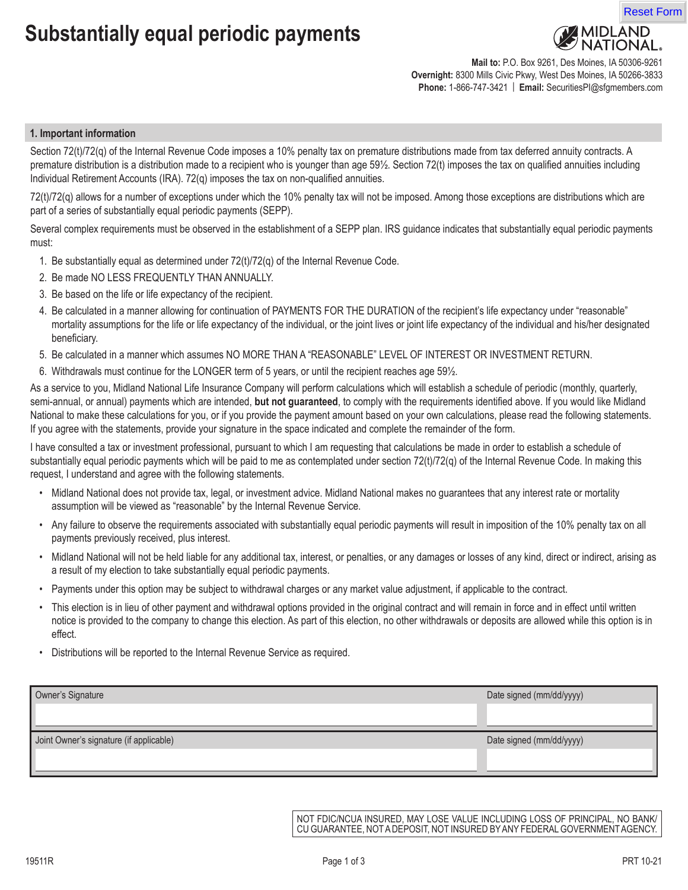# **Substantially equal periodic payments**



**Mail to:** P.O. Box 9261, Des Moines, IA 50306-9261 **Overnight:** 8300 Mills Civic Pkwy, West Des Moines, IA 50266-3833 **Phone:** 1-866-747-3421 | **Email:** SecuritiesPI@sfgmembers.com

#### **1. Important information**

Section 72(t)/72(g) of the Internal Revenue Code imposes a 10% penalty tax on premature distributions made from tax deferred annuity contracts. A premature distribution is a distribution made to a recipient who is younger than age 59½. Section 72(t) imposes the tax on qualified annuities including Individual Retirement Accounts (IRA). 72(q) imposes the tax on non-qualified annuities.

72(t)/72(q) allows for a number of exceptions under which the 10% penalty tax will not be imposed. Among those exceptions are distributions which are part of a series of substantially equal periodic payments (SEPP).

Several complex requirements must be observed in the establishment of a SEPP plan. IRS guidance indicates that substantially equal periodic payments must:

- 1. Be substantially equal as determined under 72(t)/72(q) of the Internal Revenue Code.
- 2. Be made NO LESS FREQUENTLY THAN ANNUALLY.
- 3. Be based on the life or life expectancy of the recipient.
- 4. Be calculated in a manner allowing for continuation of PAYMENTS FOR THE DURATION of the recipient's life expectancy under "reasonable" mortality assumptions for the life or life expectancy of the individual, or the joint lives or joint life expectancy of the individual and his/her designated beneficiary.
- 5. Be calculated in a manner which assumes NO MORE THAN A "REASONABLE" LEVEL OF INTEREST OR INVESTMENT RETURN.
- 6. Withdrawals must continue for the LONGER term of 5 years, or until the recipient reaches age 59½.

As a service to you, Midland National Life Insurance Company will perform calculations which will establish a schedule of periodic (monthly, quarterly, semi-annual, or annual) payments which are intended, **but not guaranteed**, to comply with the requirements identified above. If you would like Midland National to make these calculations for you, or if you provide the payment amount based on your own calculations, please read the following statements. If you agree with the statements, provide your signature in the space indicated and complete the remainder of the form.

I have consulted a tax or investment professional, pursuant to which I am requesting that calculations be made in order to establish a schedule of substantially equal periodic payments which will be paid to me as contemplated under section 72(t)/72(q) of the Internal Revenue Code. In making this request, I understand and agree with the following statements.

- Midland National does not provide tax, legal, or investment advice. Midland National makes no guarantees that any interest rate or mortality assumption will be viewed as "reasonable" by the Internal Revenue Service.
- Any failure to observe the requirements associated with substantially equal periodic payments will result in imposition of the 10% penalty tax on all payments previously received, plus interest.
- Midland National will not be held liable for any additional tax, interest, or penalties, or any damages or losses of any kind, direct or indirect, arising as a result of my election to take substantially equal periodic payments.
- Payments under this option may be subject to withdrawal charges or any market value adjustment, if applicable to the contract.
- This election is in lieu of other payment and withdrawal options provided in the original contract and will remain in force and in effect until written notice is provided to the company to change this election. As part of this election, no other withdrawals or deposits are allowed while this option is in effect.
- Distributions will be reported to the Internal Revenue Service as required.

| Owner's Signature                       | Date signed (mm/dd/yyyy) |
|-----------------------------------------|--------------------------|
|                                         |                          |
|                                         |                          |
| Joint Owner's signature (if applicable) | Date signed (mm/dd/yyyy) |
|                                         |                          |
|                                         |                          |

NOT FDIC/NCUA INSURED, MAY LOSE VALUE INCLUDING LOSS OF PRINCIPAL, NO BANK/ CU GUARANTEE, NOT A DEPOSIT, NOT INSURED BY ANY FEDERAL GOVERNMENT AGENCY.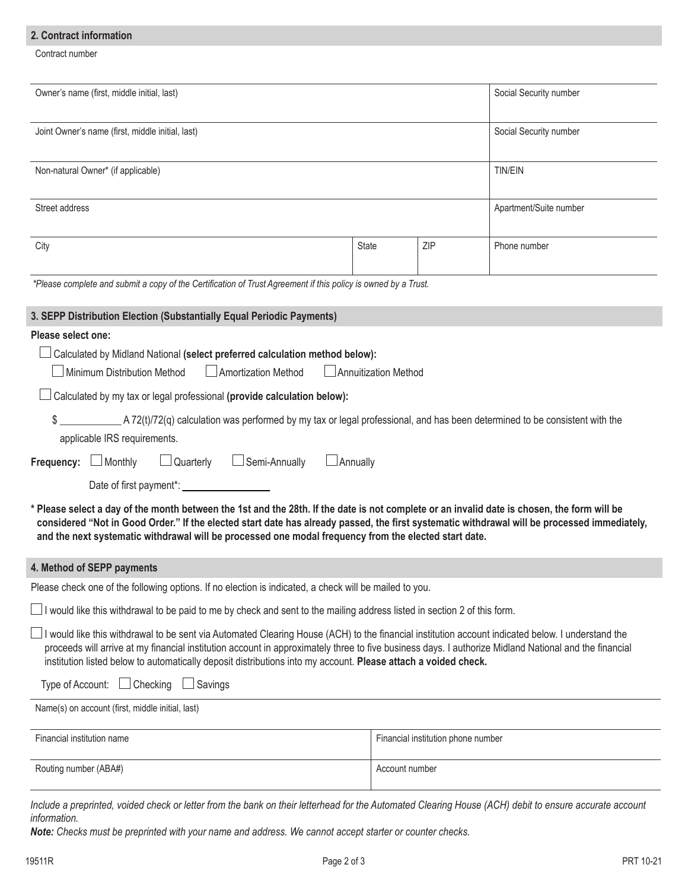# **2. Contract information**

Contract number

| Owner's name (first, middle initial, last)                                                                                                                                                                                                                                                                                                                                                                                   |                      |                                    | Social Security number |  |  |  |
|------------------------------------------------------------------------------------------------------------------------------------------------------------------------------------------------------------------------------------------------------------------------------------------------------------------------------------------------------------------------------------------------------------------------------|----------------------|------------------------------------|------------------------|--|--|--|
| Joint Owner's name (first, middle initial, last)                                                                                                                                                                                                                                                                                                                                                                             |                      |                                    | Social Security number |  |  |  |
| Non-natural Owner* (if applicable)                                                                                                                                                                                                                                                                                                                                                                                           |                      |                                    | <b>TIN/EIN</b>         |  |  |  |
| Street address                                                                                                                                                                                                                                                                                                                                                                                                               |                      |                                    | Apartment/Suite number |  |  |  |
| City                                                                                                                                                                                                                                                                                                                                                                                                                         | <b>State</b>         | ZIP                                | Phone number           |  |  |  |
| *Please complete and submit a copy of the Certification of Trust Agreement if this policy is owned by a Trust.                                                                                                                                                                                                                                                                                                               |                      |                                    |                        |  |  |  |
| 3. SEPP Distribution Election (Substantially Equal Periodic Payments)                                                                                                                                                                                                                                                                                                                                                        |                      |                                    |                        |  |  |  |
| Please select one:<br>Calculated by Midland National (select preferred calculation method below):<br>Minimum Distribution Method<br>Amortization Method<br>Calculated by my tax or legal professional (provide calculation below):                                                                                                                                                                                           | Annuitization Method |                                    |                        |  |  |  |
| $\blacksquare$ A 72(t)/72(q) calculation was performed by my tax or legal professional, and has been determined to be consistent with the<br>applicable IRS requirements.                                                                                                                                                                                                                                                    |                      |                                    |                        |  |  |  |
| $\Box$ Semi-Annually<br>$\Box$ Monthly<br>$\Box$ Quarterly<br>$\Box$ Annually<br>Frequency:                                                                                                                                                                                                                                                                                                                                  |                      |                                    |                        |  |  |  |
| Date of first payment*: _                                                                                                                                                                                                                                                                                                                                                                                                    |                      |                                    |                        |  |  |  |
| * Please select a day of the month between the 1st and the 28th. If the date is not complete or an invalid date is chosen, the form will be<br>considered "Not in Good Order." If the elected start date has already passed, the first systematic withdrawal will be processed immediately,<br>and the next systematic withdrawal will be processed one modal frequency from the elected start date.                         |                      |                                    |                        |  |  |  |
| 4. Method of SEPP payments                                                                                                                                                                                                                                                                                                                                                                                                   |                      |                                    |                        |  |  |  |
| Please check one of the following options. If no election is indicated, a check will be mailed to you.                                                                                                                                                                                                                                                                                                                       |                      |                                    |                        |  |  |  |
| I would like this withdrawal to be paid to me by check and sent to the mailing address listed in section 2 of this form.                                                                                                                                                                                                                                                                                                     |                      |                                    |                        |  |  |  |
| I would like this withdrawal to be sent via Automated Clearing House (ACH) to the financial institution account indicated below. I understand the<br>proceeds will arrive at my financial institution account in approximately three to five business days. I authorize Midland National and the financial<br>institution listed below to automatically deposit distributions into my account. Please attach a voided check. |                      |                                    |                        |  |  |  |
| Checking<br>$\Box$ Savings<br>Type of Account:                                                                                                                                                                                                                                                                                                                                                                               |                      |                                    |                        |  |  |  |
| Name(s) on account (first, middle initial, last)                                                                                                                                                                                                                                                                                                                                                                             |                      |                                    |                        |  |  |  |
| Financial institution name                                                                                                                                                                                                                                                                                                                                                                                                   |                      | Financial institution phone number |                        |  |  |  |
| Routing number (ABA#)                                                                                                                                                                                                                                                                                                                                                                                                        | Account number       |                                    |                        |  |  |  |
| Include a preprinted, voided check or letter from the bank on their letterhead for the Automated Clearing House (ACH) debit to ensure accurate account<br>information.                                                                                                                                                                                                                                                       |                      |                                    |                        |  |  |  |

*Note: Checks must be preprinted with your name and address. We cannot accept starter or counter checks.*